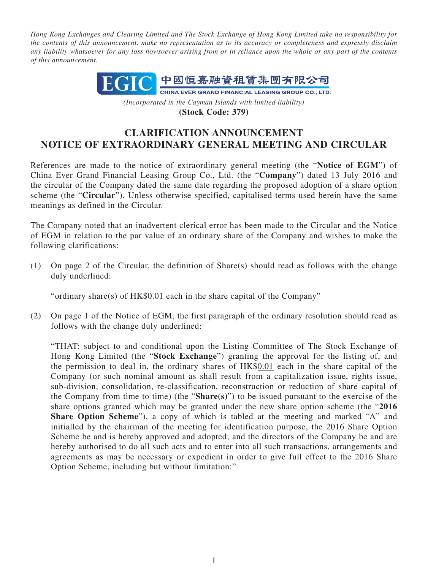*Hong Kong Exchanges and Clearing Limited and The Stock Exchange of Hong Kong Limited take no responsibility for the contents of this announcement, make no representation as to its accuracy or completeness and expressly disclaim any liability whatsoever for any loss howsoever arising from or in reliance upon the whole or any part of the contents of this announcement.*



*(Incorporated in the Cayman Islands with limited liability)* **(Stock Code: 379)**

## **CLARIFICATION ANNOUNCEMENT NOTICE OF EXTRAORDINARY GENERAL MEETING AND CIRCULAR**

References are made to the notice of extraordinary general meeting (the "**Notice of EGM**") of China Ever Grand Financial Leasing Group Co., Ltd. (the "**Company**") dated 13 July 2016 and the circular of the Company dated the same date regarding the proposed adoption of a share option scheme (the "**Circular**"). Unless otherwise specified, capitalised terms used herein have the same meanings as defined in the Circular.

The Company noted that an inadvertent clerical error has been made to the Circular and the Notice of EGM in relation to the par value of an ordinary share of the Company and wishes to make the following clarifications:

(1) On page 2 of the Circular, the definition of Share(s) should read as follows with the change duly underlined:

"ordinary share(s) of HK\$0.01 each in the share capital of the Company"

(2) On page 1 of the Notice of EGM, the first paragraph of the ordinary resolution should read as follows with the change duly underlined:

"THAT: subject to and conditional upon the Listing Committee of The Stock Exchange of Hong Kong Limited (the "**Stock Exchange**") granting the approval for the listing of, and the permission to deal in, the ordinary shares of HK\$0.01 each in the share capital of the Company (or such nominal amount as shall result from a capitalization issue, rights issue, sub-division, consolidation, re-classification, reconstruction or reduction of share capital of the Company from time to time) (the "**Share(s)**") to be issued pursuant to the exercise of the share options granted which may be granted under the new share option scheme (the "**2016 Share Option Scheme**"), a copy of which is tabled at the meeting and marked "A" and initialled by the chairman of the meeting for identification purpose, the 2016 Share Option Scheme be and is hereby approved and adopted; and the directors of the Company be and are hereby authorised to do all such acts and to enter into all such transactions, arrangements and agreements as may be necessary or expedient in order to give full effect to the 2016 Share Option Scheme, including but without limitation:"